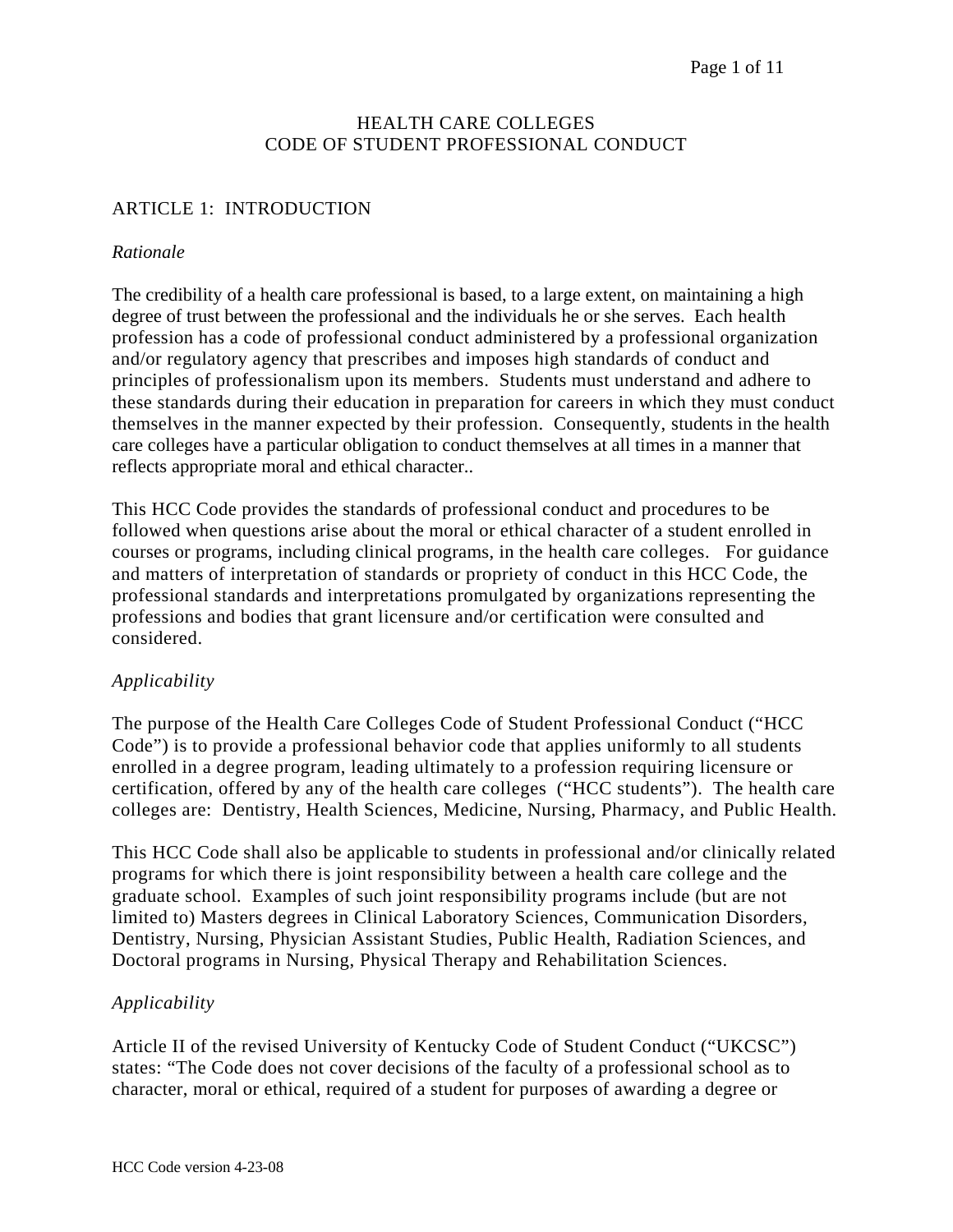## HEALTH CARE COLLEGES CODE OF STUDENT PROFESSIONAL CONDUCT

# ARTICLE 1: INTRODUCTION

## *Rationale*

The credibility of a health care professional is based, to a large extent, on maintaining a high degree of trust between the professional and the individuals he or she serves. Each health profession has a code of professional conduct administered by a professional organization and/or regulatory agency that prescribes and imposes high standards of conduct and principles of professionalism upon its members. Students must understand and adhere to these standards during their education in preparation for careers in which they must conduct themselves in the manner expected by their profession. Consequently, students in the health care colleges have a particular obligation to conduct themselves at all times in a manner that reflects appropriate moral and ethical character..

This HCC Code provides the standards of professional conduct and procedures to be followed when questions arise about the moral or ethical character of a student enrolled in courses or programs, including clinical programs, in the health care colleges. For guidance and matters of interpretation of standards or propriety of conduct in this HCC Code, the professional standards and interpretations promulgated by organizations representing the professions and bodies that grant licensure and/or certification were consulted and considered.

# *Applicability*

The purpose of the Health Care Colleges Code of Student Professional Conduct ("HCC Code") is to provide a professional behavior code that applies uniformly to all students enrolled in a degree program, leading ultimately to a profession requiring licensure or certification, offered by any of the health care colleges ("HCC students"). The health care colleges are: Dentistry, Health Sciences, Medicine, Nursing, Pharmacy, and Public Health.

This HCC Code shall also be applicable to students in professional and/or clinically related programs for which there is joint responsibility between a health care college and the graduate school. Examples of such joint responsibility programs include (but are not limited to) Masters degrees in Clinical Laboratory Sciences, Communication Disorders, Dentistry, Nursing, Physician Assistant Studies, Public Health, Radiation Sciences, and Doctoral programs in Nursing, Physical Therapy and Rehabilitation Sciences.

# *Applicability*

Article II of the revised University of Kentucky Code of Student Conduct ("UKCSC") states: "The Code does not cover decisions of the faculty of a professional school as to character, moral or ethical, required of a student for purposes of awarding a degree or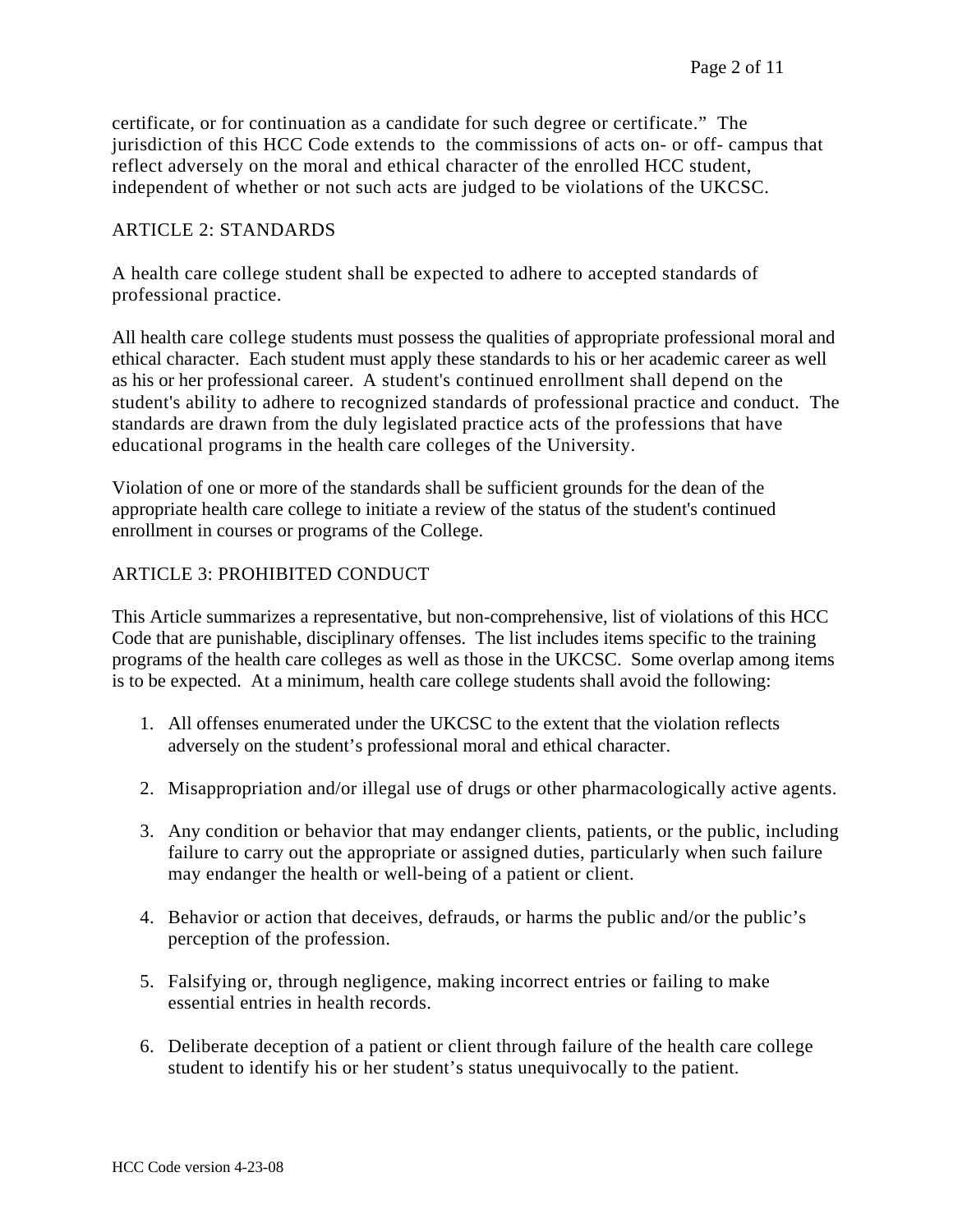certificate, or for continuation as a candidate for such degree or certificate." The jurisdiction of this HCC Code extends to the commissions of acts on- or off- campus that reflect adversely on the moral and ethical character of the enrolled HCC student, independent of whether or not such acts are judged to be violations of the UKCSC.

#### ARTICLE 2: STANDARDS

A health care college student shall be expected to adhere to accepted standards of professional practice.

All health care college students must possess the qualities of appropriate professional moral and ethical character. Each student must apply these standards to his or her academic career as well as his or her professional career. A student's continued enrollment shall depend on the student's ability to adhere to recognized standards of professional practice and conduct. The standards are drawn from the duly legislated practice acts of the professions that have educational programs in the health care colleges of the University.

Violation of one or more of the standards shall be sufficient grounds for the dean of the appropriate health care college to initiate a review of the status of the student's continued enrollment in courses or programs of the College.

### ARTICLE 3: PROHIBITED CONDUCT

This Article summarizes a representative, but non-comprehensive, list of violations of this HCC Code that are punishable, disciplinary offenses. The list includes items specific to the training programs of the health care colleges as well as those in the UKCSC. Some overlap among items is to be expected. At a minimum, health care college students shall avoid the following:

- 1. All offenses enumerated under the UKCSC to the extent that the violation reflects adversely on the student's professional moral and ethical character.
- 2. Misappropriation and/or illegal use of drugs or other pharmacologically active agents.
- 3. Any condition or behavior that may endanger clients, patients, or the public, including failure to carry out the appropriate or assigned duties, particularly when such failure may endanger the health or well-being of a patient or client.
- 4. Behavior or action that deceives, defrauds, or harms the public and/or the public's perception of the profession.
- 5. Falsifying or, through negligence, making incorrect entries or failing to make essential entries in health records.
- 6. Deliberate deception of a patient or client through failure of the health care college student to identify his or her student's status unequivocally to the patient.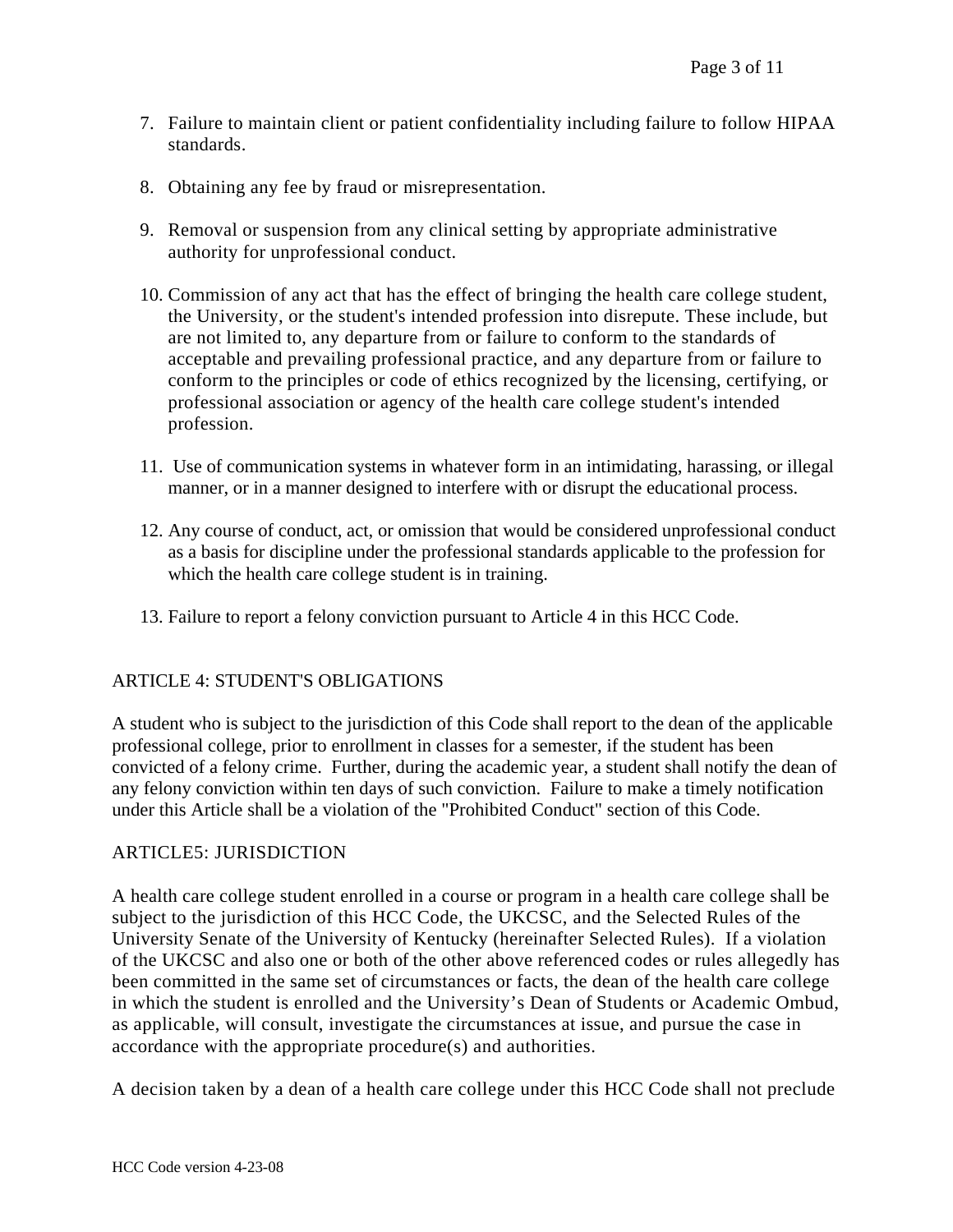- 7. Failure to maintain client or patient confidentiality including failure to follow HIPAA standards.
- 8. Obtaining any fee by fraud or misrepresentation.
- 9. Removal or suspension from any clinical setting by appropriate administrative authority for unprofessional conduct.
- 10. Commission of any act that has the effect of bringing the health care college student, the University, or the student's intended profession into disrepute. These include, but are not limited to, any departure from or failure to conform to the standards of acceptable and prevailing professional practice, and any departure from or failure to conform to the principles or code of ethics recognized by the licensing, certifying, or professional association or agency of the health care college student's intended profession.
- 11. Use of communication systems in whatever form in an intimidating, harassing, or illegal manner, or in a manner designed to interfere with or disrupt the educational process.
- 12. Any course of conduct, act, or omission that would be considered unprofessional conduct as a basis for discipline under the professional standards applicable to the profession for which the health care college student is in training.
- 13. Failure to report a felony conviction pursuant to Article 4 in this HCC Code.

### ARTICLE 4: STUDENT'S OBLIGATIONS

A student who is subject to the jurisdiction of this Code shall report to the dean of the applicable professional college, prior to enrollment in classes for a semester, if the student has been convicted of a felony crime. Further, during the academic year, a student shall notify the dean of any felony conviction within ten days of such conviction. Failure to make a timely notification under this Article shall be a violation of the "Prohibited Conduct" section of this Code.

#### ARTICLE5: JURISDICTION

A health care college student enrolled in a course or program in a health care college shall be subject to the jurisdiction of this HCC Code, the UKCSC, and the Selected Rules of the University Senate of the University of Kentucky (hereinafter Selected Rules). If a violation of the UKCSC and also one or both of the other above referenced codes or rules allegedly has been committed in the same set of circumstances or facts, the dean of the health care college in which the student is enrolled and the University's Dean of Students or Academic Ombud, as applicable, will consult, investigate the circumstances at issue, and pursue the case in accordance with the appropriate procedure(s) and authorities.

A decision taken by a dean of a health care college under this HCC Code shall not preclude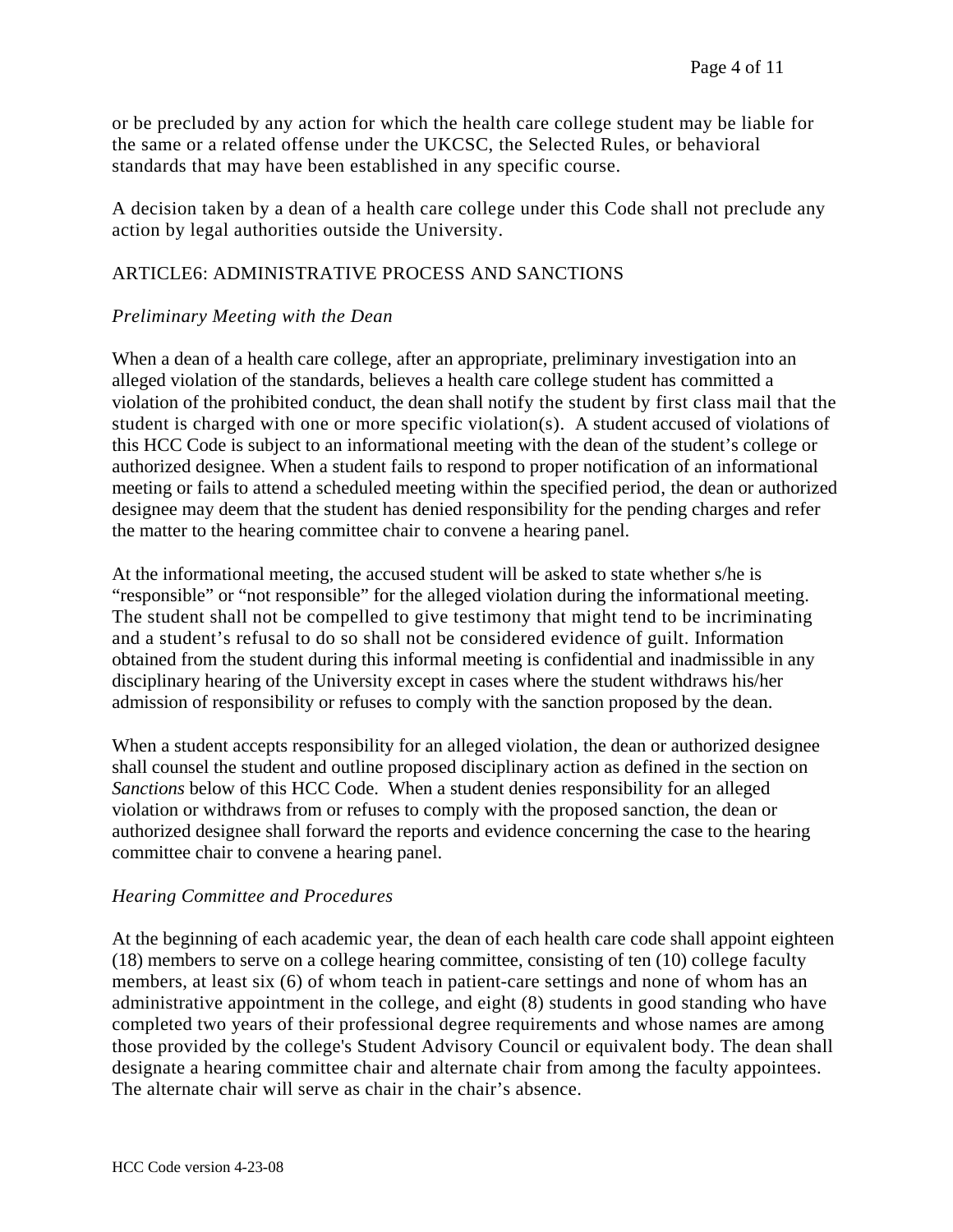or be precluded by any action for which the health care college student may be liable for the same or a related offense under the UKCSC, the Selected Rules, or behavioral standards that may have been established in any specific course.

A decision taken by a dean of a health care college under this Code shall not preclude any action by legal authorities outside the University.

## ARTICLE6: ADMINISTRATIVE PROCESS AND SANCTIONS

### *Preliminary Meeting with the Dean*

When a dean of a health care college, after an appropriate, preliminary investigation into an alleged violation of the standards, believes a health care college student has committed a violation of the prohibited conduct, the dean shall notify the student by first class mail that the student is charged with one or more specific violation(s). A student accused of violations of this HCC Code is subject to an informational meeting with the dean of the student's college or authorized designee. When a student fails to respond to proper notification of an informational meeting or fails to attend a scheduled meeting within the specified period, the dean or authorized designee may deem that the student has denied responsibility for the pending charges and refer the matter to the hearing committee chair to convene a hearing panel.

At the informational meeting, the accused student will be asked to state whether s/he is "responsible" or "not responsible" for the alleged violation during the informational meeting. The student shall not be compelled to give testimony that might tend to be incriminating and a student's refusal to do so shall not be considered evidence of guilt. Information obtained from the student during this informal meeting is confidential and inadmissible in any disciplinary hearing of the University except in cases where the student withdraws his/her admission of responsibility or refuses to comply with the sanction proposed by the dean.

When a student accepts responsibility for an alleged violation, the dean or authorized designee shall counsel the student and outline proposed disciplinary action as defined in the section on *Sanctions* below of this HCC Code. When a student denies responsibility for an alleged violation or withdraws from or refuses to comply with the proposed sanction, the dean or authorized designee shall forward the reports and evidence concerning the case to the hearing committee chair to convene a hearing panel.

### *Hearing Committee and Procedures*

At the beginning of each academic year, the dean of each health care code shall appoint eighteen (18) members to serve on a college hearing committee, consisting of ten (10) college faculty members, at least six (6) of whom teach in patient-care settings and none of whom has an administrative appointment in the college, and eight (8) students in good standing who have completed two years of their professional degree requirements and whose names are among those provided by the college's Student Advisory Council or equivalent body. The dean shall designate a hearing committee chair and alternate chair from among the faculty appointees. The alternate chair will serve as chair in the chair's absence.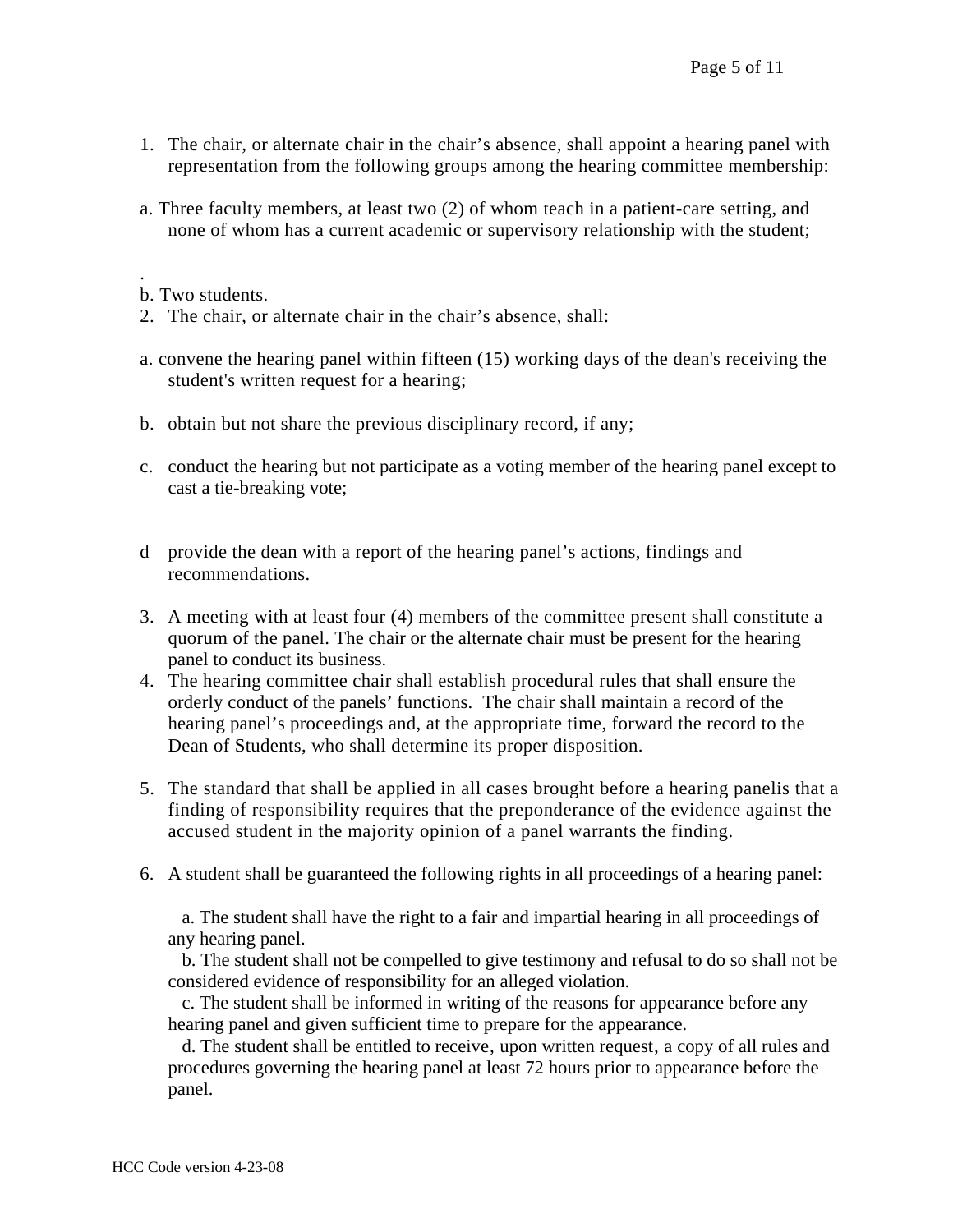- 1. The chair, or alternate chair in the chair's absence, shall appoint a hearing panel with representation from the following groups among the hearing committee membership:
- a. Three faculty members, at least two (2) of whom teach in a patient-care setting, and none of whom has a current academic or supervisory relationship with the student;

- 2. The chair, or alternate chair in the chair's absence, shall:
- a. convene the hearing panel within fifteen (15) working days of the dean's receiving the student's written request for a hearing;
- b. obtain but not share the previous disciplinary record, if any;
- c. conduct the hearing but not participate as a voting member of the hearing panel except to cast a tie-breaking vote;
- d provide the dean with a report of the hearing panel's actions, findings and recommendations.
- 3. A meeting with at least four (4) members of the committee present shall constitute a quorum of the panel. The chair or the alternate chair must be present for the hearing panel to conduct its business.
- 4. The hearing committee chair shall establish procedural rules that shall ensure the orderly conduct of the panels' functions. The chair shall maintain a record of the hearing panel's proceedings and, at the appropriate time, forward the record to the Dean of Students, who shall determine its proper disposition.
- 5. The standard that shall be applied in all cases brought before a hearing panelis that a finding of responsibility requires that the preponderance of the evidence against the accused student in the majority opinion of a panel warrants the finding.
- 6. A student shall be guaranteed the following rights in all proceedings of a hearing panel:

 a. The student shall have the right to a fair and impartial hearing in all proceedings of any hearing panel.

 b. The student shall not be compelled to give testimony and refusal to do so shall not be considered evidence of responsibility for an alleged violation.

 c. The student shall be informed in writing of the reasons for appearance before any hearing panel and given sufficient time to prepare for the appearance.

d. The student shall be entitled to receive, upon written request, a copy of all rules and procedures governing the hearing panel at least 72 hours prior to appearance before the panel.

<sup>.</sup>  b. Two students.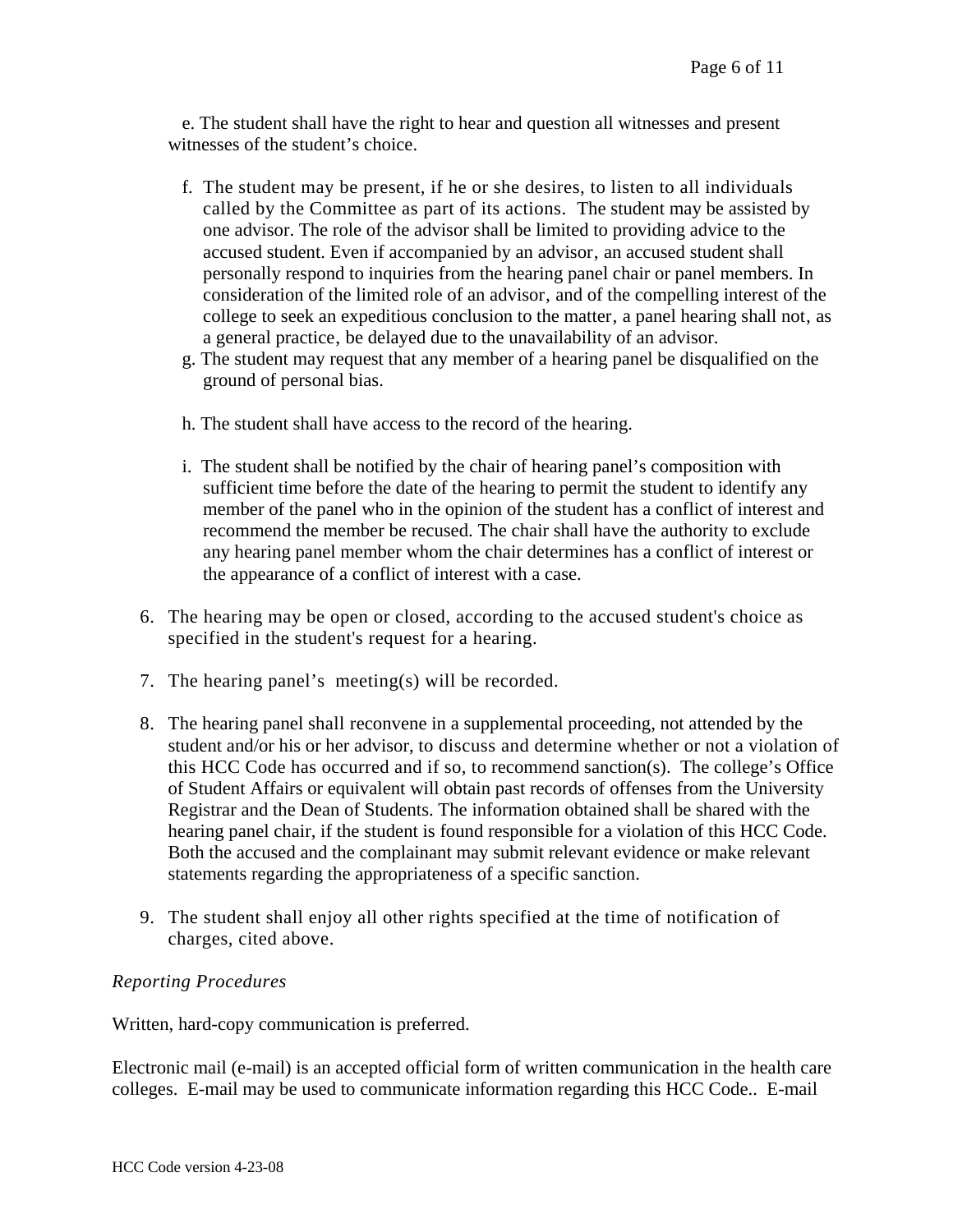e. The student shall have the right to hear and question all witnesses and present witnesses of the student's choice.

- f. The student may be present, if he or she desires, to listen to all individuals called by the Committee as part of its actions. The student may be assisted by one advisor. The role of the advisor shall be limited to providing advice to the accused student. Even if accompanied by an advisor, an accused student shall personally respond to inquiries from the hearing panel chair or panel members. In consideration of the limited role of an advisor, and of the compelling interest of the college to seek an expeditious conclusion to the matter, a panel hearing shall not, as a general practice, be delayed due to the unavailability of an advisor.
- g. The student may request that any member of a hearing panel be disqualified on the ground of personal bias.
- h. The student shall have access to the record of the hearing.
- i. The student shall be notified by the chair of hearing panel's composition with sufficient time before the date of the hearing to permit the student to identify any member of the panel who in the opinion of the student has a conflict of interest and recommend the member be recused. The chair shall have the authority to exclude any hearing panel member whom the chair determines has a conflict of interest or the appearance of a conflict of interest with a case.
- 6. The hearing may be open or closed, according to the accused student's choice as specified in the student's request for a hearing.
- 7. The hearing panel's meeting(s) will be recorded.
- 8. The hearing panel shall reconvene in a supplemental proceeding, not attended by the student and/or his or her advisor, to discuss and determine whether or not a violation of this HCC Code has occurred and if so, to recommend sanction(s). The college's Office of Student Affairs or equivalent will obtain past records of offenses from the University Registrar and the Dean of Students. The information obtained shall be shared with the hearing panel chair, if the student is found responsible for a violation of this HCC Code. Both the accused and the complainant may submit relevant evidence or make relevant statements regarding the appropriateness of a specific sanction.
- 9. The student shall enjoy all other rights specified at the time of notification of charges, cited above.

### *Reporting Procedures*

Written, hard-copy communication is preferred.

Electronic mail (e-mail) is an accepted official form of written communication in the health care colleges. E-mail may be used to communicate information regarding this HCC Code.. E-mail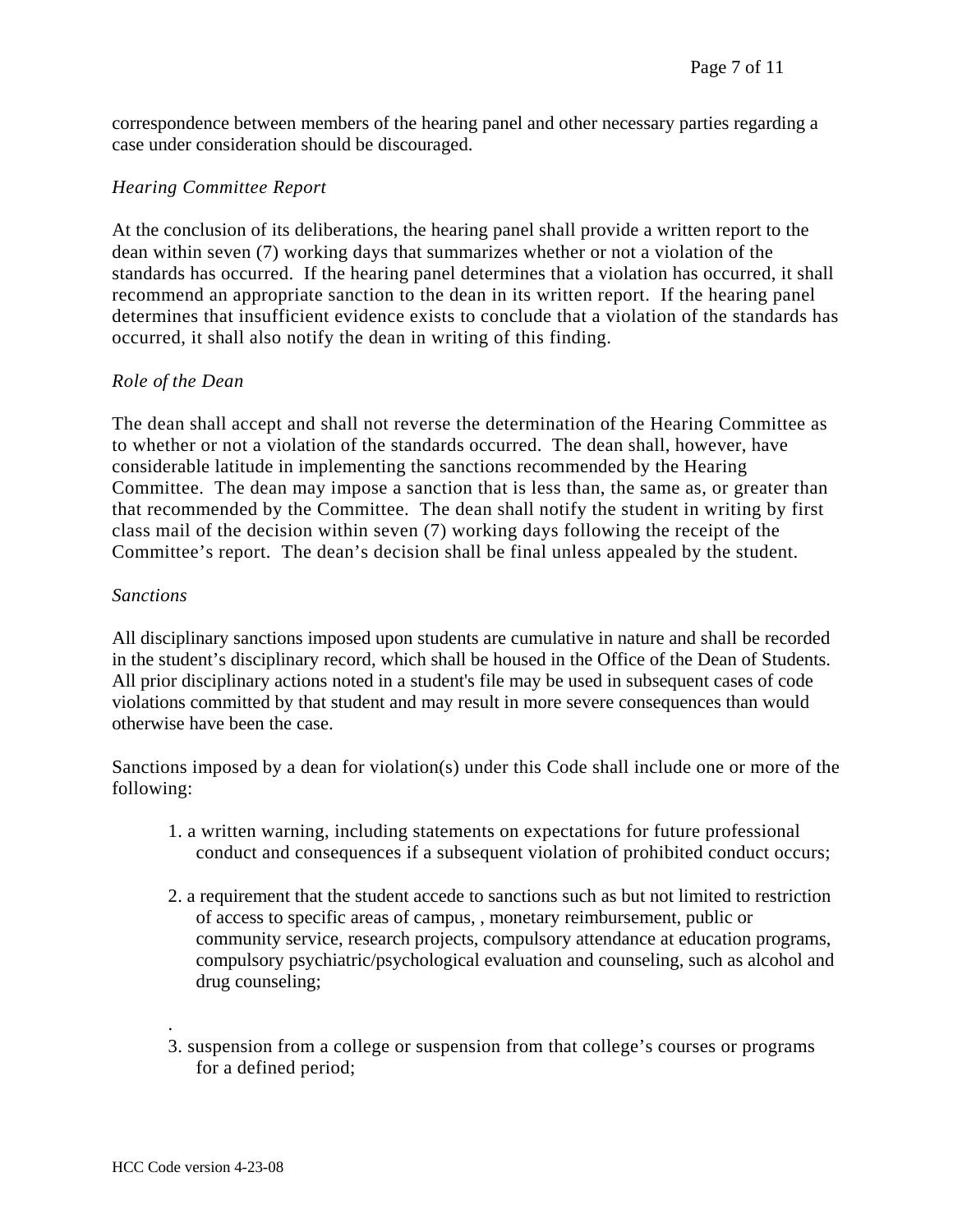correspondence between members of the hearing panel and other necessary parties regarding a case under consideration should be discouraged.

#### *Hearing Committee Report*

At the conclusion of its deliberations, the hearing panel shall provide a written report to the dean within seven (7) working days that summarizes whether or not a violation of the standards has occurred. If the hearing panel determines that a violation has occurred, it shall recommend an appropriate sanction to the dean in its written report. If the hearing panel determines that insufficient evidence exists to conclude that a violation of the standards has occurred, it shall also notify the dean in writing of this finding.

#### *Role of the Dean*

The dean shall accept and shall not reverse the determination of the Hearing Committee as to whether or not a violation of the standards occurred. The dean shall, however, have considerable latitude in implementing the sanctions recommended by the Hearing Committee. The dean may impose a sanction that is less than, the same as, or greater than that recommended by the Committee. The dean shall notify the student in writing by first class mail of the decision within seven (7) working days following the receipt of the Committee's report. The dean's decision shall be final unless appealed by the student.

#### *Sanctions*

All disciplinary sanctions imposed upon students are cumulative in nature and shall be recorded in the student's disciplinary record, which shall be housed in the Office of the Dean of Students. All prior disciplinary actions noted in a student's file may be used in subsequent cases of code violations committed by that student and may result in more severe consequences than would otherwise have been the case.

Sanctions imposed by a dean for violation(s) under this Code shall include one or more of the following:

- 1. a written warning, including statements on expectations for future professional conduct and consequences if a subsequent violation of prohibited conduct occurs;
- 2. a requirement that the student accede to sanctions such as but not limited to restriction of access to specific areas of campus, , monetary reimbursement, public or community service, research projects, compulsory attendance at education programs, compulsory psychiatric/psychological evaluation and counseling, such as alcohol and drug counseling;
- 3. suspension from a college or suspension from that college's courses or programs for a defined period;

.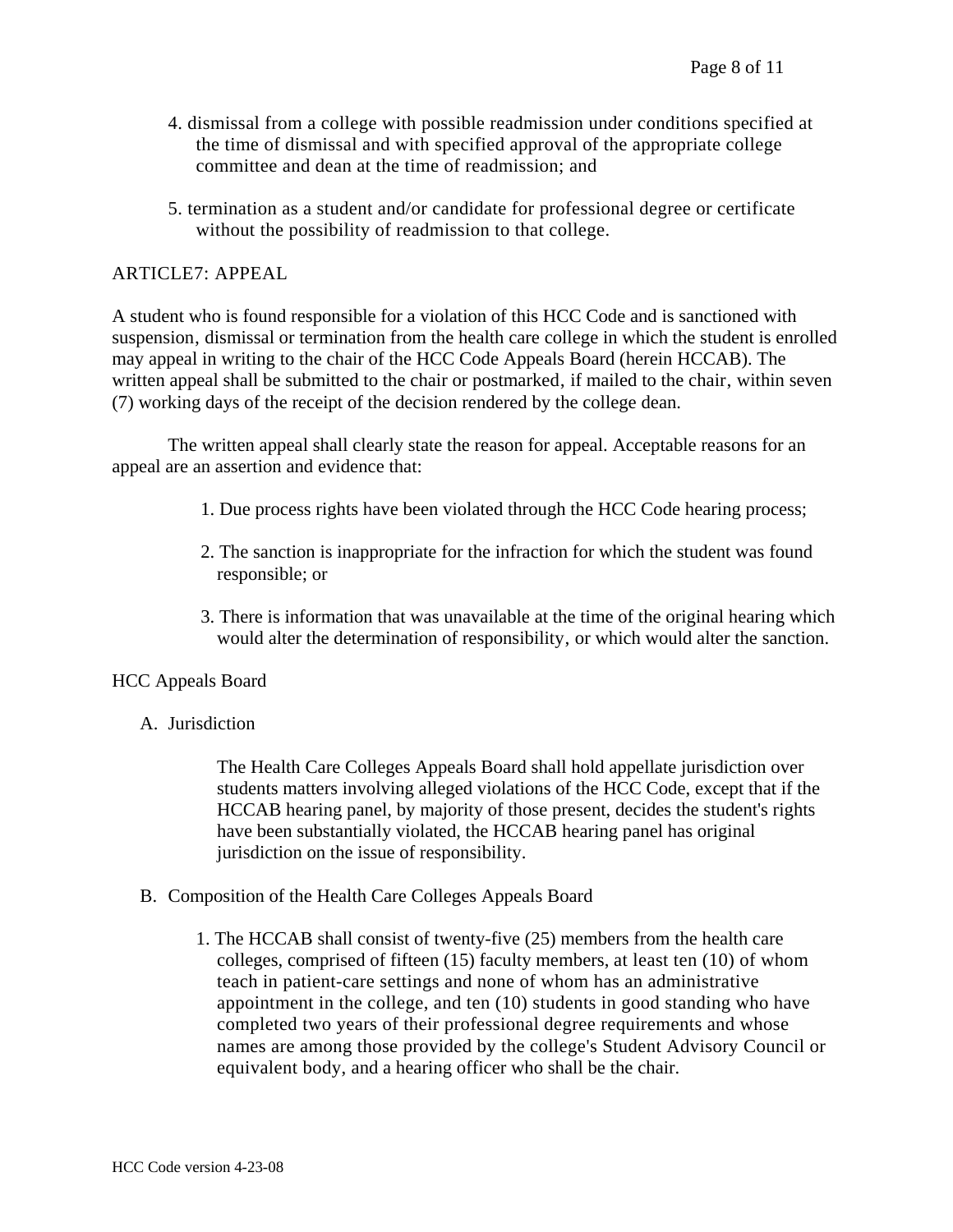- 4. dismissal from a college with possible readmission under conditions specified at the time of dismissal and with specified approval of the appropriate college committee and dean at the time of readmission; and
- 5. termination as a student and/or candidate for professional degree or certificate without the possibility of readmission to that college.

### ARTICLE7: APPEAL

A student who is found responsible for a violation of this HCC Code and is sanctioned with suspension, dismissal or termination from the health care college in which the student is enrolled may appeal in writing to the chair of the HCC Code Appeals Board (herein HCCAB). The written appeal shall be submitted to the chair or postmarked, if mailed to the chair, within seven (7) working days of the receipt of the decision rendered by the college dean.

 The written appeal shall clearly state the reason for appeal. Acceptable reasons for an appeal are an assertion and evidence that:

- 1. Due process rights have been violated through the HCC Code hearing process;
- 2. The sanction is inappropriate for the infraction for which the student was found responsible; or
- 3. There is information that was unavailable at the time of the original hearing which would alter the determination of responsibility, or which would alter the sanction.

#### HCC Appeals Board

A. Jurisdiction

The Health Care Colleges Appeals Board shall hold appellate jurisdiction over students matters involving alleged violations of the HCC Code, except that if the HCCAB hearing panel, by majority of those present, decides the student's rights have been substantially violated, the HCCAB hearing panel has original jurisdiction on the issue of responsibility.

- B. Composition of the Health Care Colleges Appeals Board
	- 1. The HCCAB shall consist of twenty-five (25) members from the health care colleges, comprised of fifteen (15) faculty members, at least ten (10) of whom teach in patient-care settings and none of whom has an administrative appointment in the college, and ten (10) students in good standing who have completed two years of their professional degree requirements and whose names are among those provided by the college's Student Advisory Council or equivalent body, and a hearing officer who shall be the chair.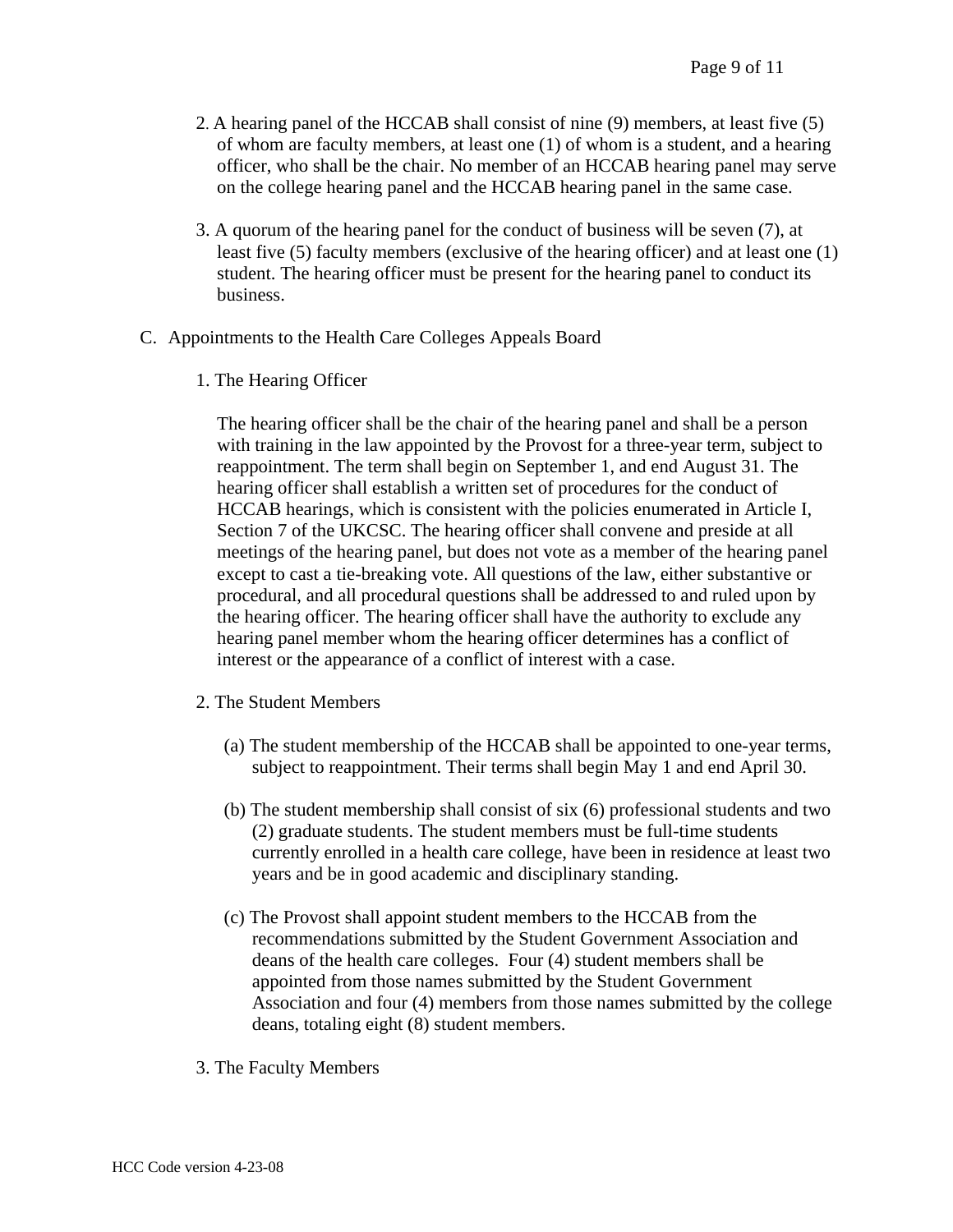- 2. A hearing panel of the HCCAB shall consist of nine (9) members, at least five (5) of whom are faculty members, at least one (1) of whom is a student, and a hearing officer, who shall be the chair. No member of an HCCAB hearing panel may serve on the college hearing panel and the HCCAB hearing panel in the same case.
- 3. A quorum of the hearing panel for the conduct of business will be seven (7), at least five (5) faculty members (exclusive of the hearing officer) and at least one (1) student. The hearing officer must be present for the hearing panel to conduct its business.
- C. Appointments to the Health Care Colleges Appeals Board
	- 1. The Hearing Officer

The hearing officer shall be the chair of the hearing panel and shall be a person with training in the law appointed by the Provost for a three-year term, subject to reappointment. The term shall begin on September 1, and end August 31. The hearing officer shall establish a written set of procedures for the conduct of HCCAB hearings, which is consistent with the policies enumerated in Article I, Section 7 of the UKCSC. The hearing officer shall convene and preside at all meetings of the hearing panel, but does not vote as a member of the hearing panel except to cast a tie-breaking vote. All questions of the law, either substantive or procedural, and all procedural questions shall be addressed to and ruled upon by the hearing officer. The hearing officer shall have the authority to exclude any hearing panel member whom the hearing officer determines has a conflict of interest or the appearance of a conflict of interest with a case.

- 2. The Student Members
	- (a) The student membership of the HCCAB shall be appointed to one-year terms, subject to reappointment. Their terms shall begin May 1 and end April 30.
	- (b) The student membership shall consist of six (6) professional students and two (2) graduate students. The student members must be full-time students currently enrolled in a health care college, have been in residence at least two years and be in good academic and disciplinary standing.
	- (c) The Provost shall appoint student members to the HCCAB from the recommendations submitted by the Student Government Association and deans of the health care colleges. Four (4) student members shall be appointed from those names submitted by the Student Government Association and four (4) members from those names submitted by the college deans, totaling eight (8) student members.
- 3. The Faculty Members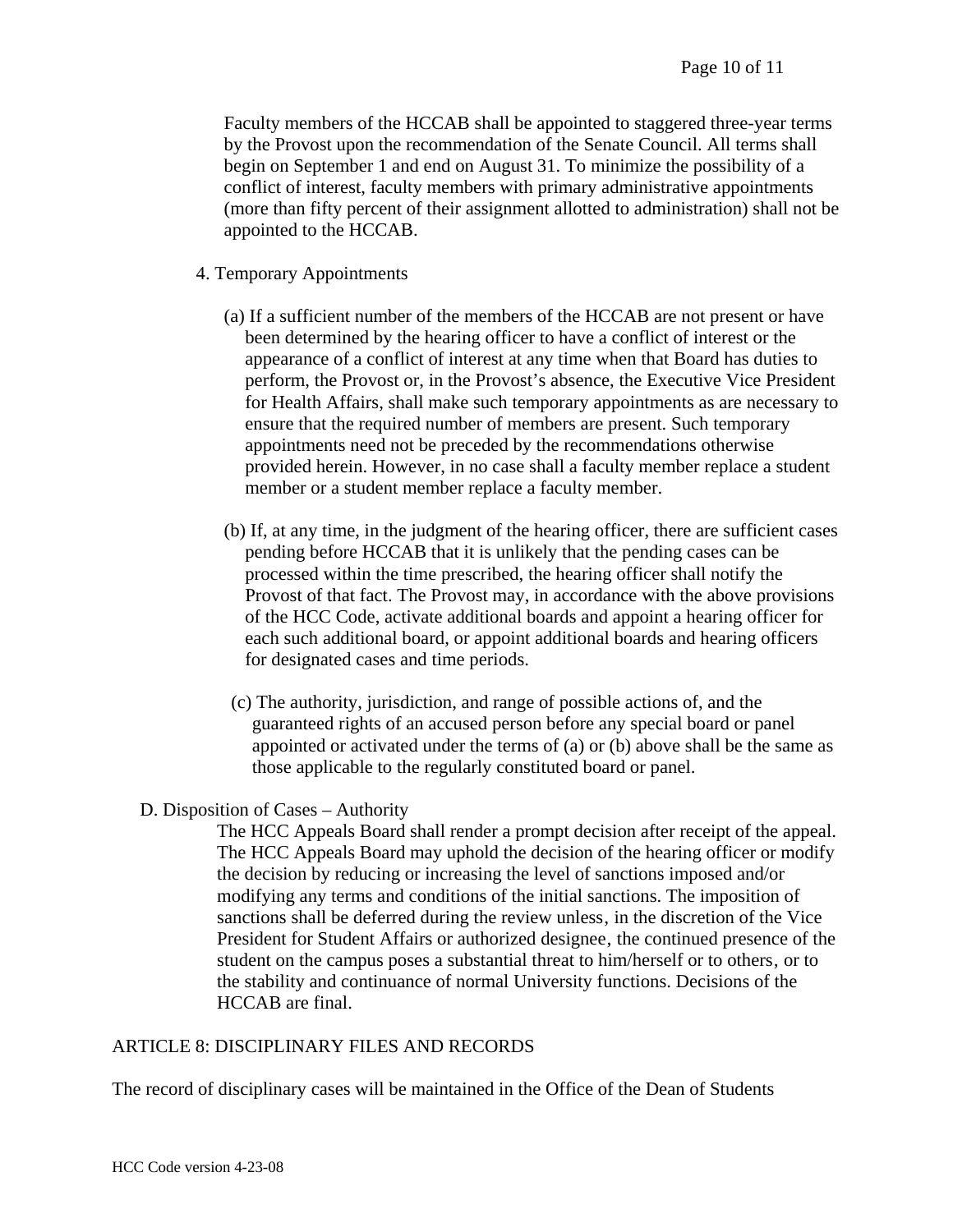Faculty members of the HCCAB shall be appointed to staggered three-year terms by the Provost upon the recommendation of the Senate Council. All terms shall begin on September 1 and end on August 31. To minimize the possibility of a conflict of interest, faculty members with primary administrative appointments (more than fifty percent of their assignment allotted to administration) shall not be appointed to the HCCAB.

- 4. Temporary Appointments
	- (a) If a sufficient number of the members of the HCCAB are not present or have been determined by the hearing officer to have a conflict of interest or the appearance of a conflict of interest at any time when that Board has duties to perform, the Provost or, in the Provost's absence, the Executive Vice President for Health Affairs, shall make such temporary appointments as are necessary to ensure that the required number of members are present. Such temporary appointments need not be preceded by the recommendations otherwise provided herein. However, in no case shall a faculty member replace a student member or a student member replace a faculty member.
	- (b) If, at any time, in the judgment of the hearing officer, there are sufficient cases pending before HCCAB that it is unlikely that the pending cases can be processed within the time prescribed, the hearing officer shall notify the Provost of that fact. The Provost may, in accordance with the above provisions of the HCC Code, activate additional boards and appoint a hearing officer for each such additional board, or appoint additional boards and hearing officers for designated cases and time periods.
	- (c) The authority, jurisdiction, and range of possible actions of, and the guaranteed rights of an accused person before any special board or panel appointed or activated under the terms of (a) or (b) above shall be the same as those applicable to the regularly constituted board or panel.
- D. Disposition of Cases Authority

The HCC Appeals Board shall render a prompt decision after receipt of the appeal. The HCC Appeals Board may uphold the decision of the hearing officer or modify the decision by reducing or increasing the level of sanctions imposed and/or modifying any terms and conditions of the initial sanctions. The imposition of sanctions shall be deferred during the review unless, in the discretion of the Vice President for Student Affairs or authorized designee, the continued presence of the student on the campus poses a substantial threat to him/herself or to others, or to the stability and continuance of normal University functions. Decisions of the HCCAB are final.

### ARTICLE 8: DISCIPLINARY FILES AND RECORDS

The record of disciplinary cases will be maintained in the Office of the Dean of Students